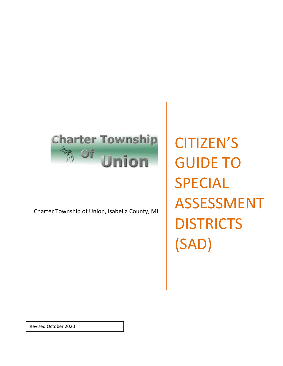# **Charter Township FR OF** Jnion

Charter Township of Union, Isabella County, MI

CITIZEN'S GUIDE TO SPECIAL ASSESSMENT **DISTRICTS** (SAD)

Revised October 2020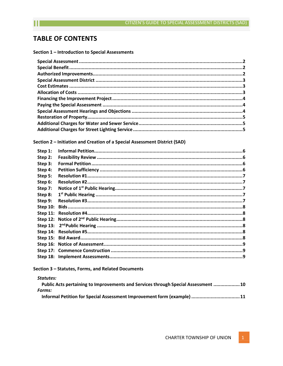# **TABLE OF CONTENTS**

Section 1 - Introduction to Special Assessments

Section 2 - Initiation and Creation of a Special Assessment District (SAD)

| Step 1:    |  |
|------------|--|
| Step 2:    |  |
| Step 3:    |  |
| Step 4:    |  |
| Step 5:    |  |
| Step 6:    |  |
| Step 7:    |  |
| Step 8:    |  |
| Step 9:    |  |
| Step $10:$ |  |
|            |  |
|            |  |
|            |  |
|            |  |
|            |  |
|            |  |
|            |  |
|            |  |
|            |  |

# Section 3 - Statutes, Forms, and Related Documents

# Statutes:

| Public Acts pertaining to Improvements and Services through Special Assessment 10 |  |
|-----------------------------------------------------------------------------------|--|
| Forms:                                                                            |  |
| Informal Petition for Special Assessment Improvement form (example) 11            |  |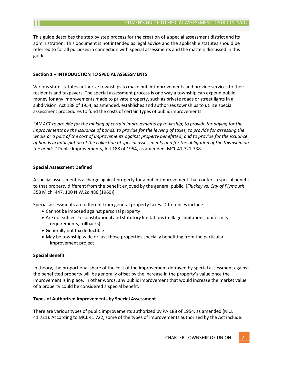This guide describes the step by step process for the creation of a special assessment district and its administration. This document is not intended as legal advice and the applicable statutes should be referred to for all purposes in connection with special assessments and the matters discussed in this guide.

#### **Section 1 – INTRODUCTION TO SPECIAL ASSESSMENTS**

Various state statutes authorize townships to make public improvements and provide services to their residents and taxpayers. The special assessment process is one way a township can expend public money for any improvements made to private property, such as private roads or street lights in a subdivision. Act 188 of 1954, as amended, establishes and authorizes townships to utilize special assessment procedures to fund the costs of certain types of public improvements:

*"AN ACT to provide for the making of certain improvements by township; to provide for paying for the improvements by the issuance of bonds, to provide for the levying of taxes, to provide for assessing the whole or a part of the cost of improvements against property benefitted; and to provide for the issuance of bonds in anticipation of the collection of special assessments and for the obligation of the township on the bonds."* Public Improvements, Act 188 of 1954, as amended, MCL 41.721‐738

# **Special Assessment Defined**

A special assessment is a charge against property for a public improvement that confers a special benefit to that property different from the benefit enjoyed by the general public. [*Fluckey* vs. *City of Plymouth*, 358 Mich. 447, 100 N.W.2d 486 (1960)].

Special assessments are different from general property taxes. Differences include:

- Cannot be imposed against personal property
- Are not subject to constitutional and statutory limitations (millage limitations, uniformity requirements, rollbacks)
- Generally not tax deductible
- May be township wide or just those properties specially benefiting from the particular improvement project

#### <span id="page-2-0"></span>**Special Benefit**

In theory, the proportional share of the cost of the improvement defrayed by special assessment against the benefitted property will be generally offset by the increase in the property's value once the improvement is in place. In other words, any public improvement that would increase the market value of a property could be considered a special benefit.

#### **Types of Authorized Improvements by Special Assessment**

There are various types of public improvements authorized by PA 188 of 1954, as amended (MCL 41.721). According to MCL 41.722, some of the types of improvements authorized by the Act include: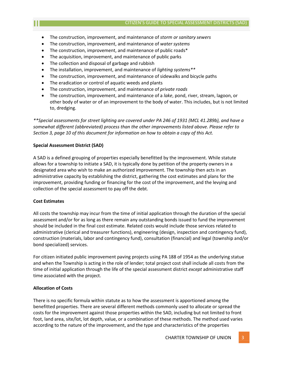- The construction, improvement, and maintenance of *storm or sanitary sewers*
- The construction, improvement, and maintenance of *water systems*
- The construction, improvement, and maintenance of public roads\*
- The acquisition, improvement, and maintenance of public parks
- The collection and disposal of garbage and rubbish
- The installation, improvement, and maintenance of *lighting systems\*\**
- The construction, improvement, and maintenance of sidewalks and bicycle paths
- The eradication or control of aquatic weeds and plants
- The construction, improvement, and maintenance of *private roads*
- The construction, improvement, and maintenance of a *lake*, pond, river, stream, lagoon, or other body of water or of an improvement to the body of water. This includes, but is not limited to, dredging.

*\*\*Special assessments for street lighting are covered under PA 246 of 1931 (MCL 41.289b), and have a somewhat different (abbreviated) process than the other improvements listed above. Please refer to Section 3, page 10 of this document for information on how to obtain a copy of this Act.*

# **Special Assessment District (SAD)**

A SAD is a defined grouping of properties especially benefitted by the improvement. While statute allows for a township to initiate a SAD, it is typically done by petition of the property owners in a designated area who wish to make an authorized improvement. The township then acts in an administrative capacity by establishing the district, gathering the cost estimates and plans for the improvement, providing funding or financing for the cost of the improvement, and the levying and collection of the special assessment to pay off the debt.

# <span id="page-3-0"></span>**Cost Estimates**

All costs the township may incur from the time of initial application through the duration of the special assessment and/or for as long as there remain any outstanding bonds issued to fund the improvement should be included in the final cost estimate. Related costs would include those services related to administrative (clerical and treasurer functions), engineering (design, inspection and contingency fund), construction (materials, labor and contingency fund), consultation (financial) and legal (township and/or bond specialized) services.

For citizen initiated public improvement paving projects using PA 188 of 1954 as the underlying statue and when the Township is acting in the role of lender; total project cost shall include all costs from the time of initial application through the life of the special assessment district *except* administrative staff time associated with the project.

# <span id="page-3-1"></span>**Allocation of Costs**

There is no specific formula within statute as to how the assessment is apportioned among the benefitted properties. There are several different methods commonly used to allocate or spread the costs for the improvement against those properties within the SAD, including but not limited to front foot, land area, site/lot, lot depth, value, or a combination of these methods. The method used varies according to the nature of the improvement, and the type and characteristics of the properties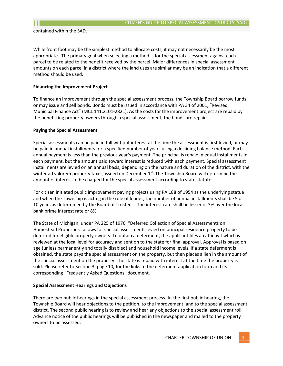contained within the SAD.

While front foot may be the simplest method to allocate costs, it may not necessarily be the most appropriate. The primary goal when selecting a method is for the special assessment against each parcel to be related to the benefit received by the parcel. Major differences in special assessment amounts on each parcel in a district where the land uses are similar may be an indication that a different method should be used.

# <span id="page-4-0"></span>**Financing the Improvement Project**

To finance an improvement through the special assessment process, the Township Board borrow funds or may issue and sell bonds. Bonds must be issued in accordance with PA 34 of 2001, "Revised Municipal Finance Act" (MCL 141.2101‐2821). As the costs for the improvement project are repaid by the benefitting property owners through a special assessment, the bonds are repaid.

#### <span id="page-4-1"></span>**Paying the Special Assessment**

Special assessments can be paid in full without interest at the time the assessment is first levied, or may be paid in annual installments for a specified number of years using a declining balance method. Each annual payment is less than the previous year's payment. The principal is repaid in equal installments in each payment, but the amount paid toward interest is reduced with each payment. Special assessment installments are levied on an annual basis, depending on the nature and duration of the district, with the winter ad valorem property taxes, issued on December  $1<sup>st</sup>$ . The Township Board will determine the amount of interest to be charged for the special assessment according to state statute.

For citizen initiated public improvement paving projects using PA 188 of 1954 as the underlying statue and when the Township is acting in the role of lender; the number of annual installments shall be 5 or 10 years as determined by the Board of Trustees. The interest rate shall be lesser of 3% over the local bank prime interest rate or 8%.

The State of Michigan, under PA 225 of 1976, "Deferred Collection of Special Assessments on Homestead Properties" allows for special assessments levied on principal residence property to be deferred for eligible property owners. To obtain a deferment, the applicant files an affidavit which is reviewed at the local level for accuracy and sent on to the state for final approval. Approval is based on age (unless permanently and totally disabled) and household income levels. If a state deferment is obtained, the state pays the special assessment on the property, but then places a lien in the amount of the special assessment on the property. The state is repaid with interest at the time the property is sold. Please refer to Section 3, page 10**,** for the links to the deferment application form and its corresponding "Frequently Asked Questions" document.

#### <span id="page-4-2"></span>**Special Assessment Hearings and Objections**

There are two public hearings in the special assessment process. At the first public hearing, the Township Board will hear objections to the petition, to the improvement, and to the special assessment district. The second public hearing is to review and hear any objections to the special assessment roll. Advance notice of the public hearings will be published in the newspaper and mailed to the property owners to be assessed.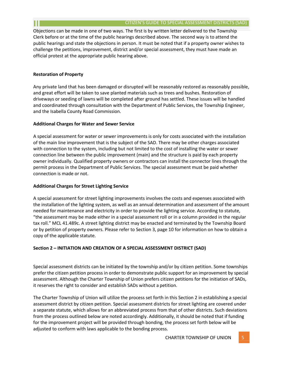Objections can be made in one of two ways. The first is by written letter delivered to the Township Clerk before or at the time of the public hearings described above. The second way is to attend the public hearings and state the objections in person. It must be noted that if a property owner wishes to challenge the petitions, improvement, district and/or special assessment, they must have made an official protest at the appropriate public hearing above.

# <span id="page-5-0"></span>**Restoration of Property**

Any private land that has been damaged or disrupted will be reasonably restored as reasonably possible, and great effort will be taken to save planted materials such as trees and bushes. Restoration of driveways or seeding of lawns will be completed after ground has settled. These issues will be handled and coordinated through consultation with the Department of Public Services, the Township Engineer, and the Isabella County Road Commission.

# <span id="page-5-1"></span>**Additional Charges for Water and Sewer Service**

A special assessment for water or sewer improvements is only for costs associated with the installation of the main line improvement that is the subject of the SAD. There may be other charges associated with connection to the system, including but not limited to the cost of installing the water or sewer connection line between the public improvement (main) and the structure is paid by each property owner individually. Qualified property owners or contractors can install the connector lines through the permit process in the Department of Public Services. The special assessment must be paid whether connection is made or not.

# <span id="page-5-2"></span>**Additional Charges for Street Lighting Service**

A special assessment for street lighting improvements involves the costs and expenses associated with the installation of the lighting system, as well as an annual determination and assessment of the amount needed for maintenance and electricity in order to provide the lighting service. According to statute, "the assessment may be made either in a special assessment roll or in a column provided in the regular tax roll." MCL 41.489c. A street lighting district may be enacted and terminated by the Township Board or by petition of property owners. Please refer to Section 3, page 10 for information on how to obtain a copy of the applicable statute.

# <span id="page-5-3"></span>**Section 2 – INITIATION AND CREATION OF A SPECIAL ASSESSMENT DISTRICT (SAD)**

Special assessment districts can be initiated by the township and/or by citizen petition. Some townships prefer the citizen petition process in order to demonstrate public support for an improvement by special assessment. Although the Charter Township of Union prefers citizen petitions for the initiation of SADs, it reserves the right to consider and establish SADs without a petition.

The Charter Township of Union will utilize the process set forth in this Section 2 in establishing a special assessment district by citizen petition. Special assessment districts for street lighting are covered under a separate statute, which allows for an abbreviated process from that of other districts. Such deviations from the process outlined below are noted accordingly. Additionally, it should be noted that if funding for the improvement project will be provided through bonding, the process set forth below will be adjusted to conform with laws applicable to the bonding process.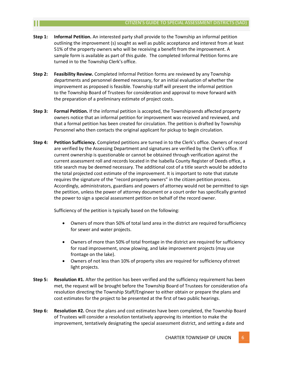- **Step 1: Informal Petition.** An interested party shall provide to the Township an informal petition outlining the improvement (s) sought as well as public acceptance and interest from at least 51% of the property owners who will be receiving a benefit from the improvement. A sample form is available as part of this guide. The completed Informal Petition forms are turned in to the Township Clerk's office.
- **Step 2: Feasibility Review.** Completed Informal Petition forms are reviewed by any Township departments and personnel deemed necessary, for an initial evaluation of whether the improvement as proposed is feasible. Township staff will present the informal petition to the Township Board of Trustees for consideration and approval to move forward with the preparation of a preliminary estimate of project costs.
- **Step 3: Formal Petition.** If the informal petition is accepted, the Townshipsends affected property owners notice that an informal petition for improvement was received and reviewed, and that a formal petition has been created for circulation. The petition is drafted by Township Personnel who then contacts the original applicant for pickup to begin circulation.
- **Step 4: Petition Sufficiency.** Completed petitions are turned in to the Clerk's office. Owners of record are verified by the Assessing Department and signatures are verified by the Clerk's office. If current ownership is questionable or cannot be obtained through verification against the current assessment roll and records located in the Isabella County Register of Deeds office, a title search may be deemed necessary. The additional cost of a title search would be addedto the total projected cost estimate of the improvement. It is important to note that statute requires the signature of the "record property owners" in the citizen petition process. Accordingly, administrators, guardians and powers of attorney would not be permitted to sign the petition, unless the power of attorney document or a court order has specifically granted the power to sign a special assessment petition on behalf of the record owner.

Sufficiency of the petition is typically based on the following:

- Owners of more than 50% of total land area in the district are required forsufficiency for sewer and water projects.
- Owners of more than 50% of total frontage in the district are required for sufficiency for road improvement, snow plowing, and lake improvement projects (may use frontage on the lake).
- Owners of not less than 10% of property sites are required for sufficiency ofstreet light projects.
- **Step 5: Resolution #1.** After the petition has been verified and the sufficiency requirement has been met, the request will be brought before the Township Board of Trustees for consideration ofa resolution directing the Township Staff/Engineer to either obtain or prepare the plans and cost estimates for the project to be presented at the first of two public hearings.
- **Step 6: Resolution #2.** Once the plans and cost estimates have been completed, the Township Board of Trustees will consider a resolution tentatively approving its intention to make the improvement, tentatively designating the special assessment district, and setting a date and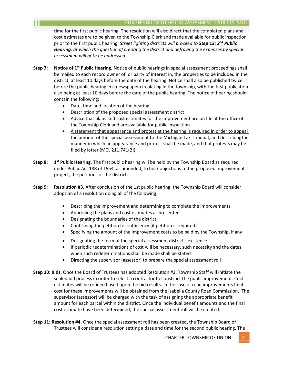time for the first public hearing. The resolution will also direct that the completed plans and cost estimates are to be given to the Township Clerk and made available for public inspection prior to the first public hearing. *Street lighting districts will proceed to Step 13: 2nd Public Hearing, at which the question of creating the district and defraying the expenses by special assessment will both be addressed.*

- **Step 7: Notice of 1st Public Hearing.** Notice of public hearings in special assessment proceedings shall be mailed to each record owner of, or party of interest in, the properties to be included in the district, at least 10 days before the date of the hearing. Notice shall also be published twice before the public hearing in a newspaper circulating in the township, with the first publication also being at least 10 days before the date of the public hearing. The notice of hearing should contain the following:
	- Date, time and location of the hearing
	- Description of the proposed special assessment district
	- Advice that plans and cost estimates for the improvement are on file at the office of the Township Clerk and are available for public inspection
	- A statement that appearance and protest at the hearing is required in order to appeal the amount of the special assessment to the Michigan Tax Tribunal, and describingthe manner in which an appearance and protest shall be made, and that protests may be filed by letter (MCL 211.741(2))
- **Step 8: 1** 1<sup>st</sup> Public Hearing. The first public hearing will be held by the Township Board as required under Public Act 188 of 1954, as amended, to hear objections to the proposed improvement project, the petitions or the district.
- **Step 9: Resolution #3.** After conclusion of the 1st public hearing, the Township Board will consider adoption of a resolution doing all of the following:
	- Describing the improvement and determining to complete the improvements
	- Approving the plans and cost estimates as presented
	- Designating the boundaries of the district
	- Confirming the petition for sufficiency (if petition is required)
	- Specifying the amount of the improvement costs to be paid by the Township, if any
	- Designating the term of the special assessment district's existence
	- If periodic redeterminations of cost will be necessary, such necessity and the dates when such redeterminations shall be made shall be stated
	- Directing the supervisor (assessor) to prepare the special assessment roll
- **Step 10: Bids.** Once the Board of Trustees has adopted Resolution #3, Township Staff will initiate the sealed bid process in order to select a contractor to construct the public improvement. Cost estimates will be refined based upon the bid results. In the case of road improvements final cost for these improvements will be obtained from the Isabella County Road Commission. The supervisor (assessor) will be charged with the task of assigning the appropriate benefit amount for each parcel within the district. Once the individual benefit amounts and the final cost estimate have been determined, the special assessment roll will be created.
- **Step 11: Resolution #4.** Once the special assessment roll has been created, the Township Board of Trustees will consider a resolution setting a date and time for the second public hearing. The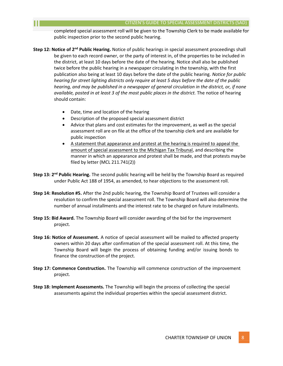completed special assessment roll will be given to the Township Clerk to be made available for public inspection prior to the second public hearing.

- **Step 12: Notice of 2nd Public Hearing.** Notice of public hearings in special assessment proceedings shall be given to each record owner, or the party of interest in, of the properties to be included in the district, at least 10 days before the date of the hearing. Notice shall also be published twice before the public hearing in a newspaper circulating in the township, with the first publication also being at least 10 days before the date of the public hearing. *Notice for public hearing for street lighting districts only require at least 5 days before the date of the public hearing, and may be published in a newspaper of general circulation in the district, or, if none available, posted in at least 3 of the most public places in the district.* The notice of hearing should contain:
	- Date, time and location of the hearing
	- Description of the proposed special assessment district
	- Advice that plans and cost estimates for the improvement, as well as the special assessment roll are on file at the office of the township clerk and are available for public inspection
	- A statement that appearance and protest at the hearing is required to appeal the amount of special assessment to the Michigan Tax Tribunal, and describing the manner in which an appearance and protest shall be made, and that protests maybe filed by letter (MCL 211.741(2))
- **Step 13: 2nd Public Hearing.** The second public hearing will be held by the Township Board as required under Public Act 188 of 1954, as amended, to hear objections to the assessment roll.
- **Step 14: Resolution #5.** After the 2nd public hearing, the Township Board of Trustees will consider a resolution to confirm the special assessment roll. The Township Board will also determine the number of annual installments and the interest rate to be charged on future installments.
- **Step 15: Bid Award.** The Township Board will consider awarding of the bid for the improvement project.
- **Step 16: Notice of Assessment.** A notice of special assessment will be mailed to affected property owners within 20 days after confirmation of the special assessment roll. At this time, the Township Board will begin the process of obtaining funding and/or issuing bonds to finance the construction of the project.
- **Step 17: Commence Construction.** The Township will commence construction of the improvement project.
- **Step 18: Implement Assessments.** The Township will begin the process of collecting the special assessments against the individual properties within the special assessment district.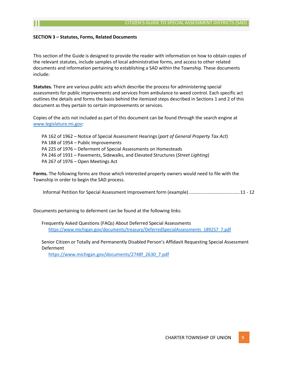# **SECTION 3 – Statutes, Forms, Related Documents**

This section of the Guide is designed to provide the reader with information on how to obtain copies of the relevant statutes, include samples of local administrative forms, and access to other related documents and information pertaining to establishing a SAD within the Township. These documents include:

**Statutes***.* There are various public acts which describe the process for administering special assessments for public improvements and services from ambulance to weed control. Each specific act outlines the details and forms the basis behind the itemized steps described in Sections 1 and 2 of this document as they pertain to certain improvements or services.

Copies of the acts not included as part of this document can be found through the search engine at [www.legislature.mi.gov:](http://www.legislature.mi.gov/)

PA 162 of 1962 – Notice of Special Assessment Hearings (*part of General Property Tax Act*) PA 188 of 1954 – Public Improvements PA 225 of 1976 – Deferment of Special Assessments on Homesteads PA 246 of 1931 – Pavements, Sidewalks, and Elevated Structures (*Street Lighting*) PA 267 of 1976 – Open Meetings Act

**Forms***.* The following forms are those which interested property owners would need to file with the Township in order to begin the SAD process.

Informal Petition for Special Assessment Improvement form (example)........................................11 - 12

Documents pertaining to deferment can be found at the following links:

Frequently Asked Questions (FAQs) About Deferred Special Assessments [https://www.michigan.gov/documents/treasury/DeferredSpecialAssessments\\_189257\\_7.pdf](http://www.michigan.gov/documents/treasury/DeferredSpecialAssessments_189257_7.pdf)

Senior Citizen or Totally and Permanently Disabled Person's Affidavit Requesting Special Assessment Deferment

[https://www.michigan.gov/documents/2748f\\_2630\\_7.pdf](http://www.michigan.gov/documents/2748f_2630_7.pdf)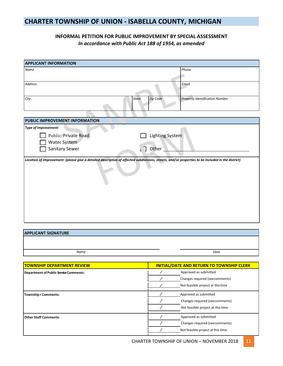# **CHARTER TOWNSHIP OF UNION ‐ ISABELLA COUNTY, MICHIGAN**

# **INFORMAL PETITION FOR PUBLIC IMPROVEMENT BY SPECIAL ASSESSMENT** *In accordance with Public Act 188 of 1954, as amended*

| <b>APPLICANT INFORMATION</b>                                                                                                                      |                                      |                                                         |
|---------------------------------------------------------------------------------------------------------------------------------------------------|--------------------------------------|---------------------------------------------------------|
| Name                                                                                                                                              |                                      | Phone                                                   |
| <b>Address</b>                                                                                                                                    |                                      | Email                                                   |
| City<br><b>State</b>                                                                                                                              | Zip Code                             | <b>Property Identification Number</b>                   |
|                                                                                                                                                   |                                      |                                                         |
| PUBLIC IMPROVEMENT INFORMATION                                                                                                                    |                                      |                                                         |
| Type of Improvement:                                                                                                                              |                                      |                                                         |
| Public/Private Road                                                                                                                               | Lighting System                      |                                                         |
| <b>Water System</b>                                                                                                                               |                                      |                                                         |
| Sanitary Sewer                                                                                                                                    | $\lfloor$ $\overline{\rfloor}$ Other |                                                         |
| Location of Improvement: (please give a detailed description of affected subdivisions, streets, and/or properties to be included in the district) |                                      |                                                         |
|                                                                                                                                                   |                                      |                                                         |
| <b>APPLICANT SIGNATURE</b>                                                                                                                        |                                      |                                                         |
|                                                                                                                                                   |                                      |                                                         |
| Name                                                                                                                                              |                                      | Date                                                    |
|                                                                                                                                                   |                                      |                                                         |
| <b>TOWNSHIP DEPARTMENT REVIEW</b>                                                                                                                 |                                      | <b>INITIAL/DATE AND RETURN TO TOWNSHIP CLERK</b>        |
| Department of Public Service Comments:                                                                                                            |                                      | Approved as submitted<br>Changes required (seecomments) |
|                                                                                                                                                   |                                      | Not feasible project at this time                       |
|                                                                                                                                                   |                                      |                                                         |
| <b>Township r Comments:</b>                                                                                                                       |                                      | Approved as submitted                                   |
|                                                                                                                                                   | Γ                                    | Changes required (seecomments)                          |
|                                                                                                                                                   | Γ                                    | Not feasible project at this time                       |
| <b>Other Staff Comments:</b>                                                                                                                      | Γ                                    | Approved as submitted                                   |
|                                                                                                                                                   | $\overline{\phantom{a}}$             | Changes required (seecomments)                          |

11 CHARTER TOWNSHIP OF UNION – NOVEMBER 2018

∕ Not feasible project at thistime